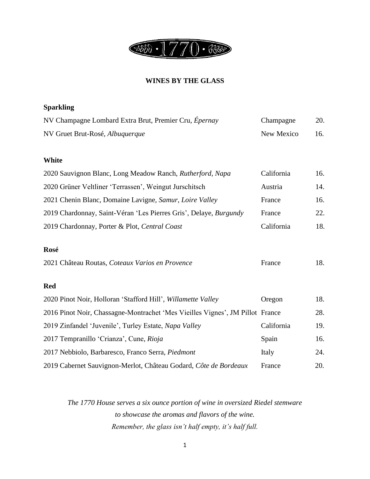

#### **WINES BY THE GLASS**

| <b>Sparkling</b>                                      |            |     |
|-------------------------------------------------------|------------|-----|
| NV Champagne Lombard Extra Brut, Premier Cru, Épernay | Champagne  | 20. |
| NV Gruet Brut-Rosé, Albuquerque                       | New Mexico | 16. |

#### **White**

| 2020 Sauvignon Blanc, Long Meadow Ranch, Rutherford, Napa         | California | 16. |
|-------------------------------------------------------------------|------------|-----|
| 2020 Grüner Veltliner 'Terrassen', Weingut Jurschitsch            | Austria    | 14. |
| 2021 Chenin Blanc, Domaine Lavigne, Samur, Loire Valley           | France     | 16. |
| 2019 Chardonnay, Saint-Véran 'Les Pierres Gris', Delaye, Burgundy | France     | 22. |
| 2019 Chardonnay, Porter & Plot, Central Coast                     | California | 18. |

#### **Rosé**

| 2021 Château Routas, Coteaux Varios en Provence | France | 18. |
|-------------------------------------------------|--------|-----|
|-------------------------------------------------|--------|-----|

#### **Red**

| 2020 Pinot Noir, Holloran 'Stafford Hill', Willamette Valley                  | Oregon     | 18. |
|-------------------------------------------------------------------------------|------------|-----|
| 2016 Pinot Noir, Chassagne-Montrachet 'Mes Vieilles Vignes', JM Pillot France |            | 28. |
| 2019 Zinfandel 'Juvenile', Turley Estate, Napa Valley                         | California | 19. |
| 2017 Tempranillo 'Crianza', Cune, Rioja                                       | Spain      | 16. |
| 2017 Nebbiolo, Barbaresco, Franco Serra, Piedmont                             | Italy      | 24. |
| 2019 Cabernet Sauvignon-Merlot, Château Godard, Côte de Bordeaux              | France     | 20. |

*The 1770 House serves a six ounce portion of wine in oversized Riedel stemware to showcase the aromas and flavors of the wine. Remember, the glass isn't half empty, it's half full.*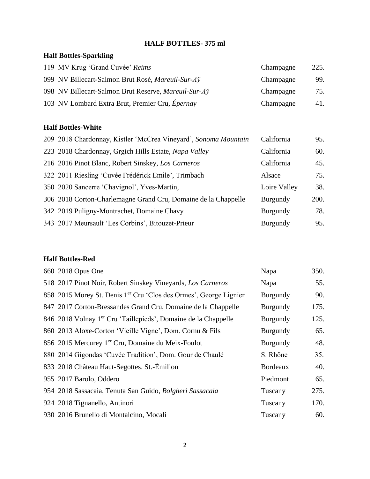### **HALF BOTTLES- 375 ml**

### **Half Bottles-Sparkling**

| 119 MV Krug 'Grand Cuvée' Reims                      | Champagne | 225. |
|------------------------------------------------------|-----------|------|
| 099 NV Billecart-Salmon Brut Rosé, Mareuil-Sur-Aÿ    | Champagne | 99.  |
| 098 NV Billecart-Salmon Brut Reserve, Mareuil-Sur-Ay | Champagne | 75.  |
| 103 NV Lombard Extra Brut, Premier Cru, Épernay      | Champagne | 41.  |

### **Half Bottles-White**

| 209 2018 Chardonnay, Kistler 'McCrea Vineyard', Sonoma Mountain | California      | 95.  |
|-----------------------------------------------------------------|-----------------|------|
| 223 2018 Chardonnay, Grgich Hills Estate, Napa Valley           | California      | 60.  |
| 216 2016 Pinot Blanc, Robert Sinskey, Los Carneros              | California      | 45.  |
| 322 2011 Riesling 'Cuvée Frédérick Emile', Trimbach             | Alsace          | 75.  |
| 350 2020 Sancerre 'Chavignol', Yves-Martin,                     | Loire Valley    | 38.  |
| 306 2018 Corton-Charlemagne Grand Cru, Domaine de la Chappelle  | <b>Burgundy</b> | 200. |
| 342 2019 Puligny-Montrachet, Domaine Chavy                      | <b>Burgundy</b> | 78.  |
| 343 2017 Meursault 'Les Corbins', Bitouzet-Prieur               | <b>Burgundy</b> | 95.  |

### **Half Bottles-Red**

| 660 2018 Opus One                                                             | Napa            | 350. |
|-------------------------------------------------------------------------------|-----------------|------|
| 518 2017 Pinot Noir, Robert Sinskey Vineyards, Los Carneros                   | Napa            | 55.  |
| 858 2015 Morey St. Denis 1 <sup>er</sup> Cru 'Clos des Ormes', George Lignier | Burgundy        | 90.  |
| 847 2017 Corton-Bressandes Grand Cru, Domaine de la Chappelle                 | Burgundy        | 175. |
| 846 2018 Volnay 1 <sup>er</sup> Cru 'Taillepieds', Domaine de la Chappelle    | Burgundy        | 125. |
| 860 2013 Aloxe-Corton 'Vieille Vigne', Dom. Cornu & Fils                      | Burgundy        | 65.  |
| 856 2015 Mercurey 1 <sup>er</sup> Cru, Domaine du Meix-Foulot                 | Burgundy        | 48.  |
| 880 2014 Gigondas 'Cuvée Tradition', Dom. Gour de Chaulé                      | S. Rhône        | 35.  |
| 833 2018 Château Haut-Segottes. St.-Émilion                                   | <b>Bordeaux</b> | 40.  |
| 955 2017 Barolo, Oddero                                                       | Piedmont        | 65.  |
| 954 2018 Sassacaia, Tenuta San Guido, Bolgheri Sassacaia                      | Tuscany         | 275. |
| 924 2018 Tignanello, Antinori                                                 | Tuscany         | 170. |
| 930 2016 Brunello di Montalcino, Mocali                                       | Tuscany         | 60.  |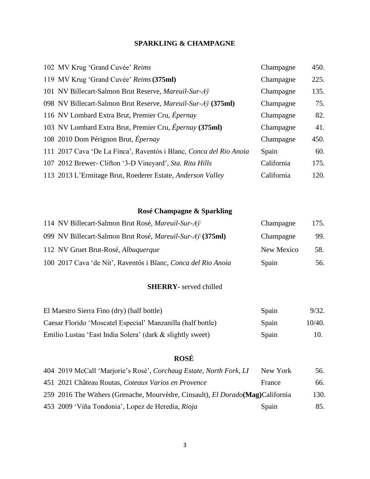#### **SPARKLING & CHAMPAGNE**

| 102 MV Krug 'Grand Cuvée' Reims                                      | Champagne  | 450. |
|----------------------------------------------------------------------|------------|------|
| 119 MV Krug 'Grand Cuvée' Reims (375ml)                              | Champagne  | 225. |
| 101 NV Billecart-Salmon Brut Reserve, Mareuil-Sur-Ay                 | Champagne  | 135. |
| 098 NV Billecart-Salmon Brut Reserve, <i>Mareuil-Sur-A</i> ÿ (375ml) | Champagne  | 75.  |
| 116 NV Lombard Extra Brut, Premier Cru, Épernay                      | Champagne  | 82.  |
| 103 NV Lombard Extra Brut, Premier Cru, Épernay (375ml)              | Champagne  | 41.  |
| 108 2010 Dom Pérignon Brut, Épernay                                  | Champagne  | 450. |
| 111 2017 Cava 'De La Finca', Raventós i Blanc, Conca del Rio Anoia   | Spain      | 60.  |
| 107 2012 Brewer- Clifton '3-D Vineyard', Sta. Rita Hills             | California | 175. |
| 113 2013 L'Ermitage Brut, Roederer Estate, Anderson Valley           | California | 120. |

# **Rosé Champagne & Sparkling**

| 114 NV Billecart-Salmon Brut Rosé, Mareuil-Sur-Aÿ             | Champagne  | 175. |
|---------------------------------------------------------------|------------|------|
| 099 NV Billecart-Salmon Brut Rosé, Mareuil-Sur-Aÿ (375ml)     | Champagne  | 99.  |
| 112 NV Gruet Brut-Rosé, Albuquerque                           | New Mexico | 58.  |
| 100 2017 Cava 'de Nit', Raventós i Blanc, Conca del Rio Anoia | Spain      | 56.  |

#### **SHERRY-** served chilled

| El Maestro Sierra Fino (dry) (half bottle)                  | Spain | 9/32.  |
|-------------------------------------------------------------|-------|--------|
| Caesar Florido 'Moscatel Especial' Manzanilla (half bottle) | Spain | 10/40. |
| Emilio Lustau 'East India Solera' (dark & slightly sweet)   | Spain | 10.    |

### **ROSÉ**

| 404 2019 McCall 'Marjorie's Rosé', Corchaug Estate, North Fork, LI                      | New York | 56.  |
|-----------------------------------------------------------------------------------------|----------|------|
| 451 2021 Château Routas, Coteaux Varios en Provence                                     | France   | 66.  |
| 259 2016 The Withers (Grenache, Mourvèdre, Cinsault), <i>El Dorado</i> (Mag) California |          | 130. |
| 453 2009 'Viña Tondonia', Lopez de Heredia, Rioja                                       | Spain    | 85.  |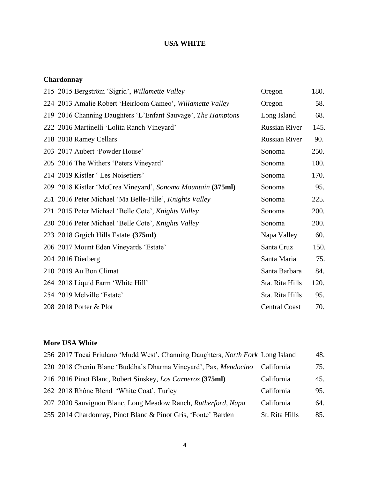### **USA WHITE**

### **Chardonnay**

| 215 2015 Bergström 'Sigrid', Willamette Valley               | Oregon               | 180. |
|--------------------------------------------------------------|----------------------|------|
| 224 2013 Amalie Robert 'Heirloom Cameo', Willamette Valley   | Oregon               | 58.  |
| 219 2016 Channing Daughters 'L'Enfant Sauvage', The Hamptons | Long Island          | 68.  |
| 222 2016 Martinelli 'Lolita Ranch Vineyard'                  | <b>Russian River</b> | 145. |
| 218 2018 Ramey Cellars                                       | <b>Russian River</b> | 90.  |
| 203 2017 Aubert 'Powder House'                               | Sonoma               | 250. |
| 205 2016 The Withers 'Peters Vineyard'                       | Sonoma               | 100. |
| 214 2019 Kistler 'Les Noisetiers'                            | Sonoma               | 170. |
| 209 2018 Kistler 'McCrea Vineyard', Sonoma Mountain (375ml)  | Sonoma               | 95.  |
| 251 2016 Peter Michael 'Ma Belle-Fille', Knights Valley      | Sonoma               | 225. |
| 221 2015 Peter Michael 'Belle Cote', Knights Valley          | Sonoma               | 200. |
| 230 2016 Peter Michael 'Belle Cote', Knights Valley          | Sonoma               | 200. |
| 223 2018 Grgich Hills Estate (375ml)                         | Napa Valley          | 60.  |
| 206 2017 Mount Eden Vineyards 'Estate'                       | Santa Cruz           | 150. |
| 204 2016 Dierberg                                            | Santa Maria          | 75.  |
| 210 2019 Au Bon Climat                                       | Santa Barbara        | 84.  |
| 264 2018 Liquid Farm 'White Hill'                            | Sta. Rita Hills      | 120. |
| 254 2019 Melville 'Estate'                                   | Sta. Rita Hills      | 95.  |
| 208 2018 Porter & Plot                                       | <b>Central Coast</b> | 70.  |

### **More USA White**

| 256 2017 Tocai Friulano 'Mudd West', Channing Daughters, North Fork Long Island |                | 48. |
|---------------------------------------------------------------------------------|----------------|-----|
| 220 2018 Chenin Blanc 'Buddha's Dharma Vineyard', Pax, Mendocino                | California     | 75. |
| 216 2016 Pinot Blanc, Robert Sinskey, Los Carneros (375ml)                      | California     | 45. |
| 262 2018 Rhône Blend 'White Coat', Turley                                       | California     | 95. |
| 207 2020 Sauvignon Blanc, Long Meadow Ranch, Rutherford, Napa                   | California     | 64. |
| 255 2014 Chardonnay, Pinot Blanc & Pinot Gris, 'Fonte' Barden                   | St. Rita Hills | 85. |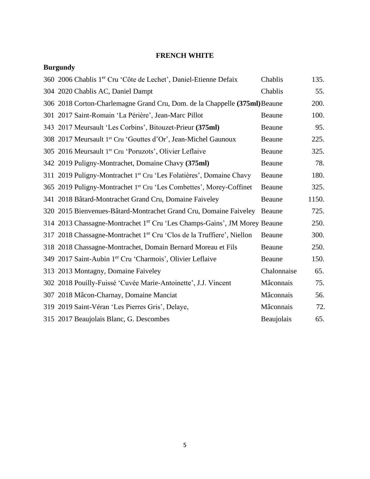### **FRENCH WHITE**

# **Burgundy**

| 360 2006 Chablis 1 <sup>er</sup> Cru 'Côte de Lechet', Daniel-Etienne Defaix          | Chablis     | 135.  |
|---------------------------------------------------------------------------------------|-------------|-------|
| 304 2020 Chablis AC, Daniel Dampt                                                     | Chablis     | 55.   |
| 306 2018 Corton-Charlemagne Grand Cru, Dom. de la Chappelle (375ml) Beaune            |             | 200.  |
| 301 2017 Saint-Romain 'La Périère', Jean-Marc Pillot                                  | Beaune      | 100.  |
| 343 2017 Meursault 'Les Corbins', Bitouzet-Prieur (375ml)                             | Beaune      | 95.   |
| 308 2017 Meursault 1er Cru 'Gouttes d'Or', Jean-Michel Gaunoux                        | Beaune      | 225.  |
| 305 2016 Meursault 1er Cru 'Poruzots', Olivier Leflaive                               | Beaune      | 325.  |
| 342 2019 Puligny-Montrachet, Domaine Chavy (375ml)                                    | Beaune      | 78.   |
| 311 2019 Puligny-Montrachet 1er Cru 'Les Folatières', Domaine Chavy                   | Beaune      | 180.  |
| 365 2019 Puligny-Montrachet 1er Cru 'Les Combettes', Morey-Coffinet                   | Beaune      | 325.  |
| 341 2018 Bâtard-Montrachet Grand Cru, Domaine Faiveley                                | Beaune      | 1150. |
| 320 2015 Bienvenues-Bâtard-Montrachet Grand Cru, Domaine Faiveley                     | Beaune      | 725.  |
| 314 2013 Chassagne-Montrachet 1 <sup>er</sup> Cru 'Les Champs-Gains', JM Morey Beaune |             | 250.  |
| 317 2018 Chassagne-Montrachet 1 <sup>er</sup> Cru 'Clos de la Truffiere', Niellon     | Beaune      | 300.  |
| 318 2018 Chassagne-Montrachet, Domain Bernard Moreau et Fils                          | Beaune      | 250.  |
| 349 2017 Saint-Aubin 1 <sup>er</sup> Cru 'Charmois', Olivier Leflaive                 | Beaune      | 150.  |
| 313 2013 Montagny, Domaine Faiveley                                                   | Chalonnaise | 65.   |
| 302 2018 Pouilly-Fuissé 'Cuvée Marie-Antoinette', J.J. Vincent                        | Mâconnais   | 75.   |
| 307 2018 Mâcon-Charnay, Domaine Manciat                                               | Mâconnais   | 56.   |
| 319 2019 Saint-Véran 'Les Pierres Gris', Delaye,                                      | Mâconnais   | 72.   |
| 315 2017 Beaujolais Blanc, G. Descombes                                               | Beaujolais  | 65.   |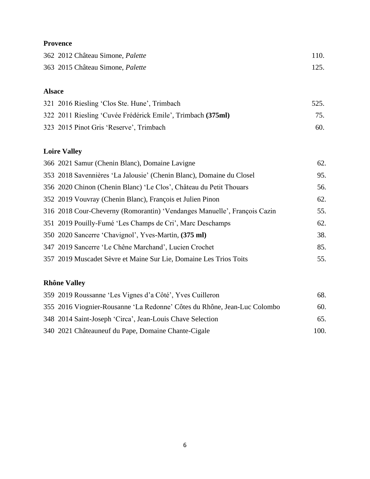### **Provence**

| 362 2012 Château Simone, Palette | 110. |
|----------------------------------|------|
| 363 2015 Château Simone, Palette |      |

### **Alsace**

| 321 2016 Riesling 'Clos Ste. Hune', Trimbach                | 525. |
|-------------------------------------------------------------|------|
| 322 2011 Riesling 'Cuvée Frédérick Emile', Trimbach (375ml) | 75.  |
| 323 2015 Pinot Gris 'Reserve', Trimbach                     | 60.  |

# **Loire Valley**

| 366 2021 Samur (Chenin Blanc), Domaine Lavigne                           | 62. |
|--------------------------------------------------------------------------|-----|
| 353 2018 Savennières 'La Jalousie' (Chenin Blanc), Domaine du Closel     | 95. |
| 356 2020 Chinon (Chenin Blanc) 'Le Clos', Château du Petit Thouars       | 56. |
| 352 2019 Vouvray (Chenin Blanc), François et Julien Pinon                | 62. |
| 316 2018 Cour-Cheverny (Romorantin) 'Vendanges Manuelle', François Cazin | 55. |
| 351 2019 Pouilly-Fumé 'Les Champs de Cri', Marc Deschamps                | 62. |
| 350 2020 Sancerre 'Chavignol', Yves-Martin, (375 ml)                     | 38. |
| 347 2019 Sancerre 'Le Chêne Marchand', Lucien Crochet                    | 85. |
| 357 2019 Muscadet Sèvre et Maine Sur Lie, Domaine Les Trios Toits        | 55. |

# **Rhône Valley**

| 359 2019 Roussanne 'Les Vignes d'a Côté', Yves Cuilleron                 | 68.  |
|--------------------------------------------------------------------------|------|
| 355 2016 Viognier-Rousanne 'La Redonne' Côtes du Rhône, Jean-Luc Colombo | 60.  |
| 348 2014 Saint-Joseph 'Circa', Jean-Louis Chave Selection                | 65.  |
| 340 2021 Châteauneuf du Pape, Domaine Chante-Cigale                      | 100. |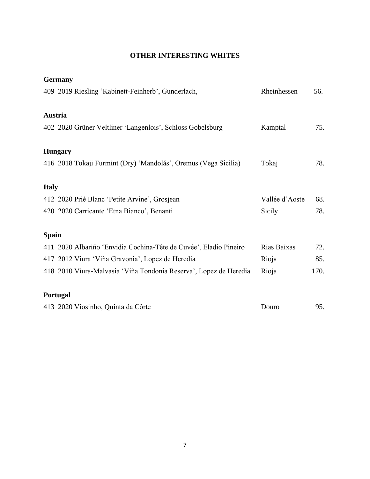### **OTHER INTERESTING WHITES**

|              | <b>Germany</b>                                                    |                |      |
|--------------|-------------------------------------------------------------------|----------------|------|
|              | 409 2019 Riesling 'Kabinett-Feinherb', Gunderlach,                | Rheinhessen    | 56.  |
| Austria      |                                                                   |                |      |
|              | 402 2020 Grüner Veltliner 'Langenlois', Schloss Gobelsburg        | Kamptal        | 75.  |
|              | <b>Hungary</b>                                                    |                |      |
|              | 416 2018 Tokaji Furmint (Dry) 'Mandolás', Oremus (Vega Sicilia)   | Tokaj          | 78.  |
| <b>Italy</b> |                                                                   |                |      |
|              | 412 2020 Prié Blanc 'Petite Arvine', Grosjean                     | Vallée d'Aoste | 68.  |
|              | 420 2020 Carricante 'Etna Bianco', Benanti                        | Sicily         | 78.  |
| <b>Spain</b> |                                                                   |                |      |
|              | 411 2020 Albariño 'Envidia Cochina-Tête de Cuvée', Eladio Pineiro | Rias Baixas    | 72.  |
|              | 417 2012 Viura 'Viña Gravonia', Lopez de Heredia                  | Rioja          | 85.  |
|              | 418 2010 Viura-Malvasia 'Viña Tondonia Reserva', Lopez de Heredia | Rioja          | 170. |
|              | Portugal                                                          |                |      |
|              | 413 2020 Viosinho, Quinta da Côrte                                | Douro          | 95.  |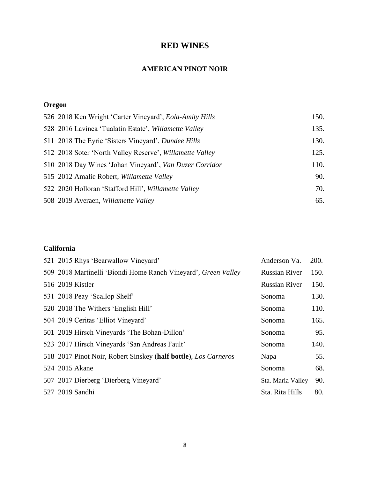### **RED WINES**

### **AMERICAN PINOT NOIR**

# **Oregon**

| 526 2018 Ken Wright 'Carter Vineyard', Eola-Amity Hills  | 150. |
|----------------------------------------------------------|------|
| 528 2016 Lavinea 'Tualatin Estate', Willamette Valley    | 135. |
| 511 2018 The Eyrie 'Sisters Vineyard', Dundee Hills      | 130. |
| 512 2018 Soter 'North Valley Reserve', Willamette Valley | 125. |
| 510 2018 Day Wines 'Johan Vineyard', Van Duzer Corridor  | 110. |
| 515 2012 Amalie Robert, Willamette Valley                | 90.  |
| 522 2020 Holloran 'Stafford Hill', Willamette Valley     | 70.  |
| 508 2019 Averaen, Willamette Valley                      | 65.  |

### **California**

| 521 2015 Rhys 'Bearwallow Vineyard'                             | Anderson Va.         | 200. |
|-----------------------------------------------------------------|----------------------|------|
| 509 2018 Martinelli 'Biondi Home Ranch Vineyard', Green Valley  | <b>Russian River</b> | 150. |
| 516 2019 Kistler                                                | <b>Russian River</b> | 150. |
| 531 2018 Peay 'Scallop Shelf'                                   | Sonoma               | 130. |
| 520 2018 The Withers 'English Hill'                             | Sonoma               | 110. |
| 504 2019 Ceritas 'Elliot Vineyard'                              | Sonoma               | 165. |
| 501 2019 Hirsch Vineyards 'The Bohan-Dillon'                    | Sonoma               | 95.  |
| 523 2017 Hirsch Vineyards 'San Andreas Fault'                   | Sonoma               | 140. |
| 518 2017 Pinot Noir, Robert Sinskey (half bottle), Los Carneros | Napa                 | 55.  |
| 524 2015 Akane                                                  | Sonoma               | 68.  |
| 507 2017 Dierberg 'Dierberg Vineyard'                           | Sta. Maria Valley    | 90.  |
| 527 2019 Sandhi                                                 | Sta. Rita Hills      | 80.  |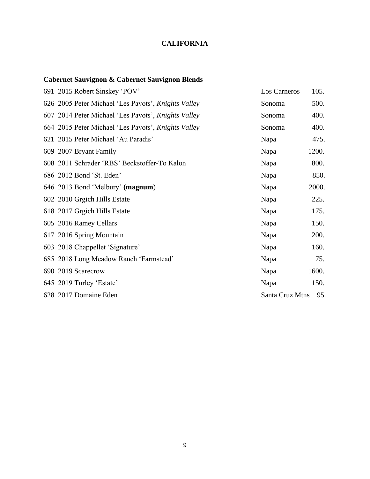### **CALIFORNIA**

### **Cabernet Sauvignon & Cabernet Sauvignon Blends**

| 691 2015 Robert Sinskey 'POV'                       | Los Carneros    | 105.  |
|-----------------------------------------------------|-----------------|-------|
| 626 2005 Peter Michael 'Les Pavots', Knights Valley | Sonoma          | 500.  |
| 607 2014 Peter Michael 'Les Pavots', Knights Valley | Sonoma          | 400.  |
| 664 2015 Peter Michael 'Les Pavots', Knights Valley | Sonoma          | 400.  |
| 621 2015 Peter Michael 'Au Paradis'                 | Napa            | 475.  |
| 609 2007 Bryant Family                              | Napa            | 1200. |
| 608 2011 Schrader 'RBS' Beckstoffer-To Kalon        | Napa            | 800.  |
| 686 2012 Bond 'St. Eden'                            | Napa            | 850.  |
| 646 2013 Bond 'Melbury' (magnum)                    | Napa            | 2000. |
| 602 2010 Grgich Hills Estate                        | Napa            | 225.  |
| 618 2017 Grgich Hills Estate                        | Napa            | 175.  |
| 605 2016 Ramey Cellars                              | Napa            | 150.  |
| 617 2016 Spring Mountain                            | Napa            | 200.  |
| 603 2018 Chappellet 'Signature'                     | Napa            | 160.  |
| 685 2018 Long Meadow Ranch 'Farmstead'              | Napa            | 75.   |
| 690 2019 Scarecrow                                  | Napa            | 1600. |
| 645 2019 Turley 'Estate'                            | Napa            | 150.  |
| 628 2017 Domaine Eden                               | Santa Cruz Mtns | 95.   |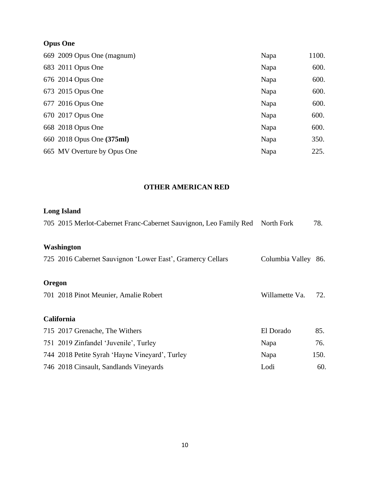# **Opus One**

| 669 2009 Opus One (magnum)  | Napa | 1100. |
|-----------------------------|------|-------|
| 683 2011 Opus One           | Napa | 600.  |
| 676 2014 Opus One           | Napa | 600.  |
| 673 2015 Opus One           | Napa | 600.  |
| 677 2016 Opus One           | Napa | 600.  |
| 670 2017 Opus One           | Napa | 600.  |
| 668 2018 Opus One           | Napa | 600.  |
| 660 2018 Opus One (375ml)   | Napa | 350.  |
| 665 MV Overture by Opus One | Napa | 225.  |

### **OTHER AMERICAN RED**

# **Long Island**

|        | 705 2015 Merlot-Cabernet Franc-Cabernet Sauvignon, Leo Family Red North Fork |                     | 78.  |
|--------|------------------------------------------------------------------------------|---------------------|------|
|        | Washington                                                                   |                     |      |
|        | 725 2016 Cabernet Sauvignon 'Lower East', Gramercy Cellars                   | Columbia Valley 86. |      |
| Oregon |                                                                              |                     |      |
|        | 701 2018 Pinot Meunier, Amalie Robert                                        | Willamette Va.      | 72.  |
|        | <b>California</b>                                                            |                     |      |
|        | 715 2017 Grenache, The Withers                                               | El Dorado           | 85.  |
|        | 751 2019 Zinfandel 'Juvenile', Turley                                        | Napa                | 76.  |
|        | 744 2018 Petite Syrah 'Hayne Vineyard', Turley                               | Napa                | 150. |
|        | 746 2018 Cinsault, Sandlands Vineyards                                       | Lodi                | 60.  |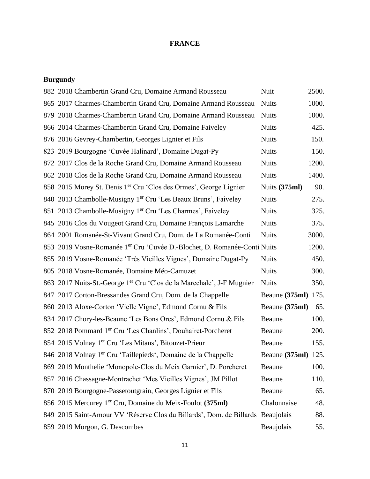### **FRANCE**

### **Burgundy**

| 882 2018 Chambertin Grand Cru, Domaine Armand Rousseau                               | Nuit                | 2500. |
|--------------------------------------------------------------------------------------|---------------------|-------|
| 865 2017 Charmes-Chambertin Grand Cru, Domaine Armand Rousseau                       | <b>Nuits</b>        | 1000. |
| 879 2018 Charmes-Chambertin Grand Cru, Domaine Armand Rousseau                       | <b>Nuits</b>        | 1000. |
| 866 2014 Charmes-Chambertin Grand Cru, Domaine Faiveley                              | <b>Nuits</b>        | 425.  |
| 876 2016 Gevrey-Chambertin, Georges Lignier et Fils                                  | <b>Nuits</b>        | 150.  |
| 823 2019 Bourgogne 'Cuvée Halinard', Domaine Dugat-Py                                | <b>Nuits</b>        | 150.  |
| 872 2017 Clos de la Roche Grand Cru, Domaine Armand Rousseau                         | <b>Nuits</b>        | 1200. |
| 862 2018 Clos de la Roche Grand Cru, Domaine Armand Rousseau                         | <b>Nuits</b>        | 1400. |
| 858 2015 Morey St. Denis 1 <sup>er</sup> Cru 'Clos des Ormes', George Lignier        | Nuits (375ml)       | 90.   |
| 840 2013 Chambolle-Musigny 1 <sup>er</sup> Cru 'Les Beaux Bruns', Faiveley           | <b>Nuits</b>        | 275.  |
| 851 2013 Chambolle-Musigny 1er Cru 'Les Charmes', Faiveley                           | <b>Nuits</b>        | 325.  |
| 845 2016 Clos du Vougeot Grand Cru, Domaine François Lamarche                        | <b>Nuits</b>        | 375.  |
| 864 2001 Romanée-St-Vivant Grand Cru, Dom. de La Romanée-Conti                       | <b>Nuits</b>        | 3000. |
| 853 2019 Vosne-Romanée 1 <sup>er</sup> Cru 'Cuvée D.-Blochet, D. Romanée-Conti Nuits |                     | 1200. |
| 855 2019 Vosne-Romanée 'Très Vieilles Vignes', Domaine Dugat-Py                      | <b>Nuits</b>        | 450.  |
| 805 2018 Vosne-Romanée, Domaine Méo-Camuzet                                          | <b>Nuits</b>        | 300.  |
| 863 2017 Nuits-St.-George 1 <sup>er</sup> Cru 'Clos de la Marechale', J-F Mugnier    | <b>Nuits</b>        | 350.  |
| 847 2017 Corton-Bressandes Grand Cru, Dom. de la Chappelle                           | Beaune (375ml) 175. |       |
| 860 2013 Aloxe-Corton 'Vielle Vigne', Edmond Cornu & Fils                            | Beaune (375ml)      | 65.   |
| 834 2017 Chory-les-Beaune 'Les Bons Ores', Edmond Cornu & Fils                       | Beaune              | 100.  |
| 852 2018 Pommard 1er Cru 'Les Chanlins', Douhairet-Porcheret                         | Beaune              | 200.  |
| 854 2015 Volnay 1 <sup>er</sup> Cru 'Les Mitans', Bitouzet-Prieur                    | Beaune              | 155.  |
| 846 2018 Volnay 1er Cru 'Taillepieds', Domaine de la Chappelle                       | Beaune (375ml) 125. |       |
| 869 2019 Monthelie 'Monopole-Clos du Meix Garnier', D. Porcheret                     | Beaune              | 100.  |
| 857 2016 Chassagne-Montrachet 'Mes Vieilles Vignes', JM Pillot                       | Beaune              | 110.  |
| 870 2019 Bourgogne-Passetoutgrain, Georges Lignier et Fils                           | Beaune              | 65.   |
| 856 2015 Mercurey 1 <sup>er</sup> Cru, Domaine du Meix-Foulot (375ml)                | Chalonnaise         | 48.   |
| 849 2015 Saint-Amour VV 'Réserve Clos du Billards', Dom. de Billards Beaujolais      |                     | 88.   |
| 859 2019 Morgon, G. Descombes                                                        | Beaujolais          | 55.   |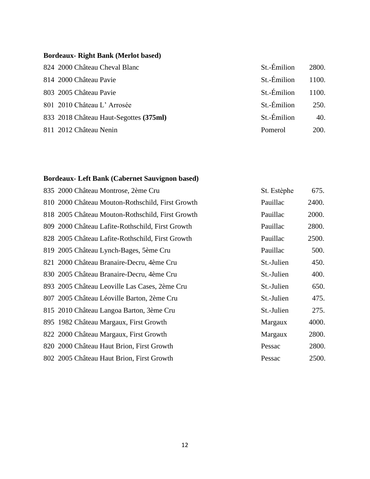### **Bordeaux- Right Bank (Merlot based)**

| 824 2000 Château Cheval Blanc          | St.-Émilion    | 2800.       |
|----------------------------------------|----------------|-------------|
| 814 2000 Château Pavie                 | St.-Émilion    | 1100.       |
| 803 2005 Château Pavie                 | St.-Émilion    | 1100.       |
| 801 2010 Château L'Arrosée             | St.-Émilion    | 250.        |
| 833 2018 Château Haut-Segottes (375ml) | St.-Émilion    | 40.         |
| 811 2012 Château Nenin                 | <b>Pomerol</b> | <b>200.</b> |

### **Bordeaux- Left Bank (Cabernet Sauvignon based)**

| 835 2000 Château Montrose, 2ème Cru              | St. Estèphe | 675.  |
|--------------------------------------------------|-------------|-------|
| 810 2000 Château Mouton-Rothschild, First Growth | Pauillac    | 2400. |
| 818 2005 Château Mouton-Rothschild, First Growth | Pauillac    | 2000. |
| 809 2000 Château Lafite-Rothschild, First Growth | Pauillac    | 2800. |
| 828 2005 Château Lafite-Rothschild, First Growth | Pauillac    | 2500. |
| 819 2005 Château Lynch-Bages, 5ème Cru           | Pauillac    | 500.  |
| 821 2000 Château Branaire-Decru, 4ème Cru        | St.-Julien  | 450.  |
| 830 2005 Château Branaire-Decru, 4ème Cru        | St.-Julien  | 400.  |
| 893 2005 Château Leoville Las Cases, 2ème Cru    | St.-Julien  | 650.  |
| 807 2005 Château Léoville Barton, 2ème Cru       | St.-Julien  | 475.  |
| 815 2010 Château Langoa Barton, 3ème Cru         | St.-Julien  | 275.  |
| 895 1982 Château Margaux, First Growth           | Margaux     | 4000. |
| 822 2000 Château Margaux, First Growth           | Margaux     | 2800. |
| 820 2000 Château Haut Brion, First Growth        | Pessac      | 2800. |
| 802 2005 Château Haut Brion, First Growth        | Pessac      | 2500. |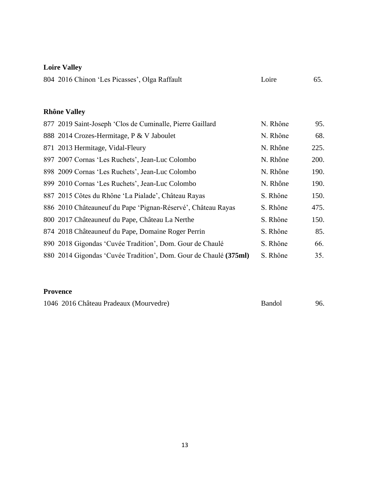# **Loire Valley**

| 804 2016 Chinon 'Les Picasses', Olga Raffault | Loire | 65. |
|-----------------------------------------------|-------|-----|
|                                               |       |     |

### **Rhône Valley**

| 877 2019 Saint-Joseph 'Clos de Cuminalle, Pierre Gaillard        | N. Rhône | 95.  |
|------------------------------------------------------------------|----------|------|
| 888 2014 Crozes-Hermitage, P & V Jaboulet                        | N. Rhône | 68.  |
| 871 2013 Hermitage, Vidal-Fleury                                 | N. Rhône | 225. |
| 897 2007 Cornas 'Les Ruchets', Jean-Luc Colombo                  | N. Rhône | 200. |
| 898 2009 Cornas 'Les Ruchets', Jean-Luc Colombo                  | N. Rhône | 190. |
| 899 2010 Cornas 'Les Ruchets', Jean-Luc Colombo                  | N. Rhône | 190. |
| 887 2015 Côtes du Rhône 'La Pialade', Château Rayas              | S. Rhône | 150. |
| 886 2010 Châteauneuf du Pape 'Pignan-Réservé', Château Rayas     | S. Rhône | 475. |
| 800 2017 Châteauneuf du Pape, Château La Nerthe                  | S. Rhône | 150. |
| 874 2018 Châteauneuf du Pape, Domaine Roger Perrin               | S. Rhône | 85.  |
| 890 2018 Gigondas 'Cuvée Tradition', Dom. Gour de Chaulé         | S. Rhône | 66.  |
| 880 2014 Gigondas 'Cuvée Tradition', Dom. Gour de Chaulé (375ml) | S. Rhône | 35.  |
|                                                                  |          |      |

### **Provence**

1046 2016 Château Pradeaux (Mourvedre) Bandol 96.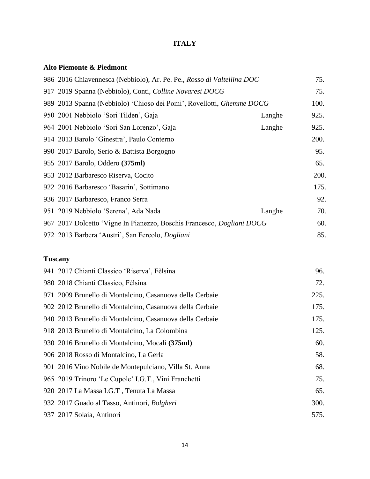### **ITALY**

### **Alto Piemonte & Piedmont**

| 986 2016 Chiavennesca (Nebbiolo), Ar. Pe. Pe., Rosso di Valtellina DOC |        | 75.  |
|------------------------------------------------------------------------|--------|------|
| 917 2019 Spanna (Nebbiolo), Conti, Colline Novaresi DOCG               |        | 75.  |
| 989 2013 Spanna (Nebbiolo) 'Chioso dei Pomi', Rovellotti, Ghemme DOCG  |        | 100. |
| 950 2001 Nebbiolo 'Sori Tilden', Gaja                                  | Langhe | 925. |
| 964 2001 Nebbiolo 'Sori San Lorenzo', Gaja                             | Langhe | 925. |
| 914 2013 Barolo 'Ginestra', Paulo Conterno                             |        | 200. |
| 990 2017 Barolo, Serio & Battista Borgogno                             |        | 95.  |
| 955 2017 Barolo, Oddero (375ml)                                        |        | 65.  |
| 953 2012 Barbaresco Riserva, Cocito                                    |        | 200. |
| 922 2016 Barbaresco 'Basarin', Sottimano                               |        | 175. |
| 936 2017 Barbaresco, Franco Serra                                      |        | 92.  |
| 951 2019 Nebbiolo 'Serena', Ada Nada                                   | Langhe | 70.  |
| 967 2017 Dolcetto 'Vigne In Pianezzo, Boschis Francesco, Dogliani DOCG |        | 60.  |
| 972 2013 Barbera 'Austri', San Fereolo, <i>Dogliani</i>                |        | 85.  |

### **Tuscany**

| 941 2017 Chianti Classico 'Riserva', Fèlsina             | 96.  |
|----------------------------------------------------------|------|
| 980 2018 Chianti Classico, Fèlsina                       | 72.  |
| 971 2009 Brunello di Montalcino, Casanuova della Cerbaie | 225. |
| 902 2012 Brunello di Montalcino, Casanuova della Cerbaie | 175. |
| 940 2013 Brunello di Montalcino, Casanuova della Cerbaie | 175. |
| 918 2013 Brunello di Montalcino, La Colombina            | 125. |
| 930 2016 Brunello di Montalcino, Mocali (375ml)          | 60.  |
| 906 2018 Rosso di Montalcino, La Gerla                   | 58.  |
| 901 2016 Vino Nobile de Montepulciano, Villa St. Anna    | 68.  |
| 965 2019 Trinoro 'Le Cupole' I.G.T., Vini Franchetti     | 75.  |
| 920 2017 La Massa I.G.T, Tenuta La Massa                 | 65.  |
| 932 2017 Guado al Tasso, Antinori, Bolgheri              | 300. |
| 937 2017 Solaia, Antinori                                | 575. |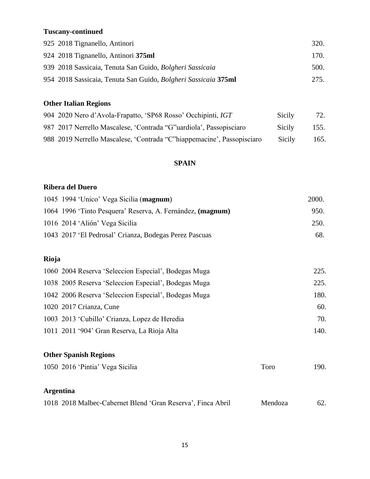### **Tuscany-continued**

| 925 2018 Tignanello, Antinori                                  | 320. |
|----------------------------------------------------------------|------|
| 924 2018 Tignanello, Antinori 375ml                            | 170. |
| 939 2018 Sassicaia, Tenuta San Guido, Bolgheri Sassicaia       | 500. |
| 954 2018 Sassicaia, Tenuta San Guido, Bolgheri Sassicaia 375ml | 275. |

### **Other Italian Regions**

| 904 2020 Nero d'Avola-Frapatto, 'SP68 Rosso' Occhipinti, IGT            | Sicily | 72.  |
|-------------------------------------------------------------------------|--------|------|
| 987 2017 Nerrello Mascalese, 'Contrada "G" uardiola', Passopisciaro     | Sicily | 155. |
| 988 2019 Nerrello Mascalese, 'Contrada "C" hiappemacine', Passopisciaro | Sicily | 165. |

### **SPAIN**

#### **Ribera del Duero**

| 1045 1994 'Unico' Vega Sicilia (magnum)                    | 2000. |
|------------------------------------------------------------|-------|
| 1064 1996 'Tinto Pesquera' Reserva, A. Fernández, (magnum) | 950.  |
| 1016 2014 'Alión' Vega Sicilia                             | 250.  |
| 1043 2017 'El Pedrosal' Crianza, Bodegas Perez Pascuas     | 68.   |
|                                                            |       |
| Rioja                                                      |       |
| 1060 2004 Reserva 'Seleccion Especial', Bodegas Muga       | 225.  |
| 1038 2005 Reserva 'Seleccion Especial', Bodegas Muga       | 225.  |
| 1042 2006 Reserva 'Seleccion Especial', Bodegas Muga       | 180.  |
| 1020 2017 Crianza, Cune                                    | 60.   |
| 1003 2013 'Cubillo' Crianza, Lopez de Heredia              | 70.   |
| 1011 2011 '904' Gran Reserva, La Rioja Alta                | 140.  |
|                                                            |       |
| <b>Other Spanish Regions</b>                               |       |

# 1050 2016 'Pintia' Vega Sicilia Toro 190.

### **Argentina**

| 1018 2018 Malbec-Cabernet Blend 'Gran Reserva', Finca Abril | Mendoza | 62. |
|-------------------------------------------------------------|---------|-----|
|                                                             |         |     |